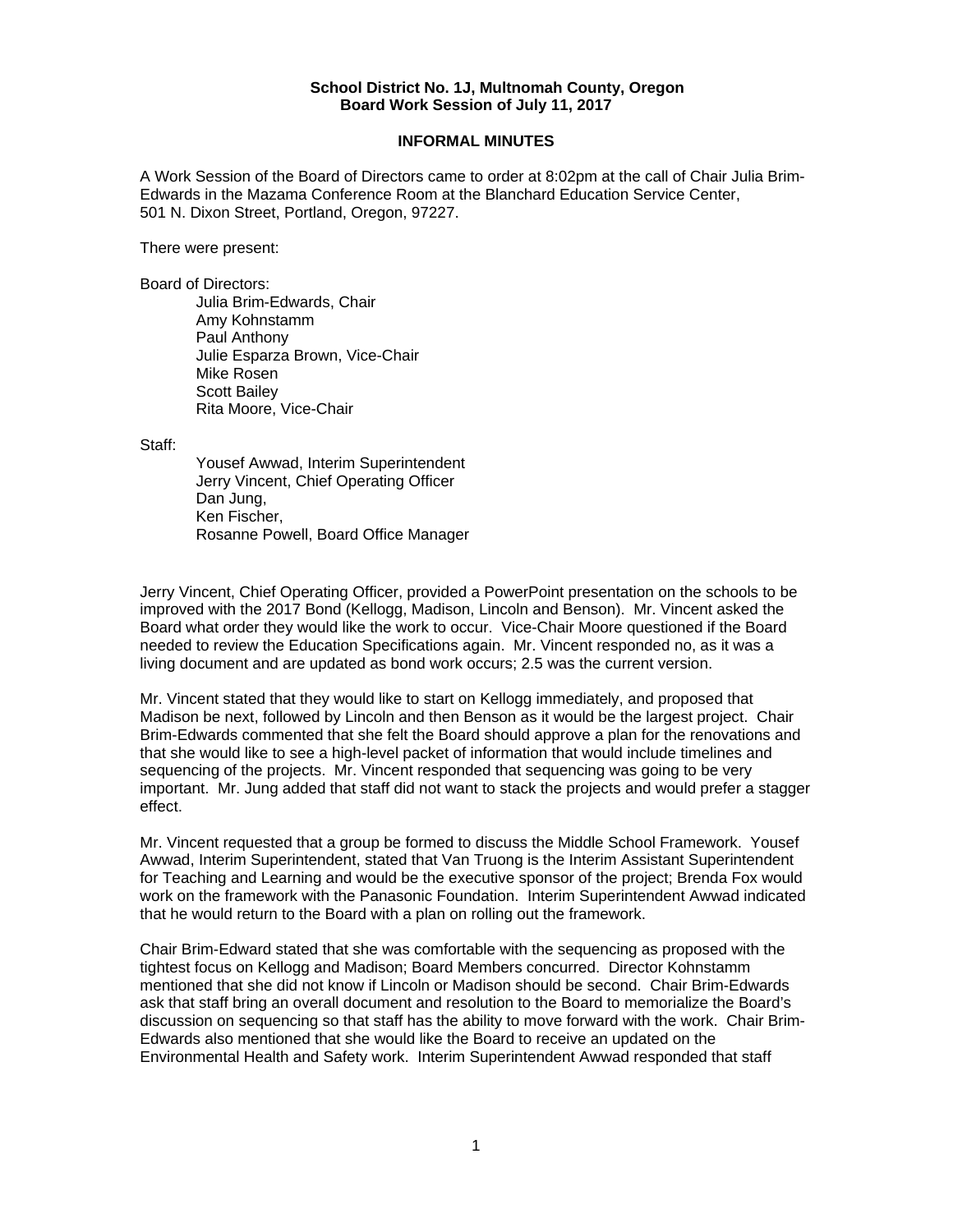## **School District No. 1J, Multnomah County, Oregon Board Work Session of July 11, 2017**

## **INFORMAL MINUTES**

A Work Session of the Board of Directors came to order at 8:02pm at the call of Chair Julia Brim-Edwards in the Mazama Conference Room at the Blanchard Education Service Center, 501 N. Dixon Street, Portland, Oregon, 97227.

There were present:

Board of Directors:

Julia Brim-Edwards, Chair Amy Kohnstamm Paul Anthony Julie Esparza Brown, Vice-Chair Mike Rosen Scott Bailey Rita Moore, Vice-Chair

Staff:

 Yousef Awwad, Interim Superintendent Jerry Vincent, Chief Operating Officer Dan Jung, Ken Fischer, Rosanne Powell, Board Office Manager

Jerry Vincent, Chief Operating Officer, provided a PowerPoint presentation on the schools to be improved with the 2017 Bond (Kellogg, Madison, Lincoln and Benson). Mr. Vincent asked the Board what order they would like the work to occur. Vice-Chair Moore questioned if the Board needed to review the Education Specifications again. Mr. Vincent responded no, as it was a living document and are updated as bond work occurs; 2.5 was the current version.

Mr. Vincent stated that they would like to start on Kellogg immediately, and proposed that Madison be next, followed by Lincoln and then Benson as it would be the largest project. Chair Brim-Edwards commented that she felt the Board should approve a plan for the renovations and that she would like to see a high-level packet of information that would include timelines and sequencing of the projects. Mr. Vincent responded that sequencing was going to be very important. Mr. Jung added that staff did not want to stack the projects and would prefer a stagger effect.

Mr. Vincent requested that a group be formed to discuss the Middle School Framework. Yousef Awwad, Interim Superintendent, stated that Van Truong is the Interim Assistant Superintendent for Teaching and Learning and would be the executive sponsor of the project; Brenda Fox would work on the framework with the Panasonic Foundation. Interim Superintendent Awwad indicated that he would return to the Board with a plan on rolling out the framework.

Chair Brim-Edward stated that she was comfortable with the sequencing as proposed with the tightest focus on Kellogg and Madison; Board Members concurred. Director Kohnstamm mentioned that she did not know if Lincoln or Madison should be second. Chair Brim-Edwards ask that staff bring an overall document and resolution to the Board to memorialize the Board's discussion on sequencing so that staff has the ability to move forward with the work. Chair Brim-Edwards also mentioned that she would like the Board to receive an updated on the Environmental Health and Safety work. Interim Superintendent Awwad responded that staff